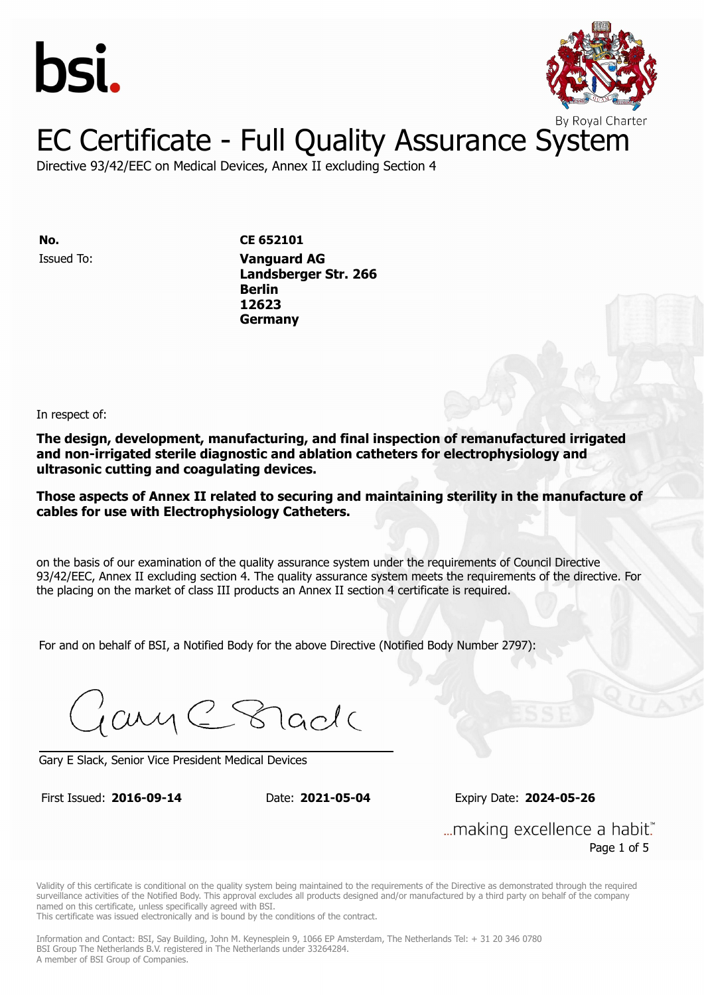



Directive 93/42/EEC on Medical Devices, Annex II excluding Section 4

Issued To: **Vanguard AG No. CE 652101 Landsberger Str. 2666 Berlin** Issued To: **Vanguard AG 12623 Landsberger Str. 266 Berlin 12623 Germany**

In respect of:

**The design, development, manufacturing, and final inspection of remanufactured irrigated and non-irrigated sterile diagnostic and ablation catheters for electrophysiology and ultrasonic cutting and coagulating devices.**

**Those aspects of Annex II related to securing and maintaining sterility in the manufacture of cables for use with Electrophysiology Catheters.**

on the basis of our examination of the quality assurance system under the requirements of Council Directive 93/42/EEC, Annex II excluding section 4. The quality assurance system meets the requirements of the directive. For the placing on the market of class III products an Annex II section 4 certificate is required.

For and on behalf of BSI, a Notified Body for the above Directive (Notified Body Number 2797):

Gary C Stade

Gary E Slack, Senior Vice President Medical Devices

First Issued: **2016-09-14** Date: **2021-05-04** Expiry Date: **2024-05-26**

First Issued: **2016-09-14** Date: **2021-05-04** Expiry Date: **2024-05-26**

... making excellence a habit." Page 1 of 5

Validity of this certificate is conditional on the quality system being maintained to the requirements of the Directive as demonstrated through the required surveillance activities of the Notified Body. This approval excludes all products designed and/or manufactured by a third party on behalf of the company named on this certificate, unless specifically agreed with BSI.

This certificate was issued electronically and is bound by the conditions of the contract.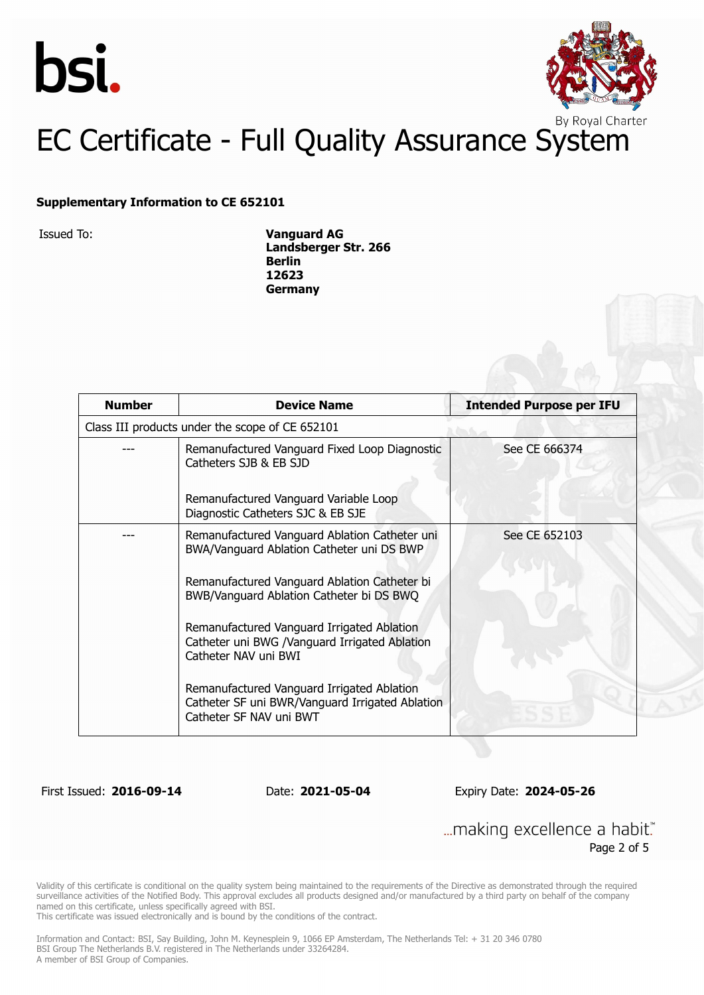



#### **Supplementary Information to CE 652101**

Issued To: **Vanguard AG Landsberger Str. 266 Berlin 12623 Germany**

| <b>Number</b>                                   | <b>Device Name</b>                                                                                                       | <b>Intended Purpose per IFU</b> |  |
|-------------------------------------------------|--------------------------------------------------------------------------------------------------------------------------|---------------------------------|--|
| Class III products under the scope of CE 652101 |                                                                                                                          |                                 |  |
|                                                 | Remanufactured Vanguard Fixed Loop Diagnostic<br>Catheters SJB & EB SJD                                                  | See CE 666374                   |  |
|                                                 | Remanufactured Vanguard Variable Loop<br>Diagnostic Catheters SJC & EB SJE                                               |                                 |  |
|                                                 | Remanufactured Vanguard Ablation Catheter uni<br>BWA/Vanguard Ablation Catheter uni DS BWP                               | See CE 652103                   |  |
|                                                 | Remanufactured Vanguard Ablation Catheter bi<br>BWB/Vanguard Ablation Catheter bi DS BWQ                                 |                                 |  |
|                                                 | Remanufactured Vanguard Irrigated Ablation<br>Catheter uni BWG /Vanguard Irrigated Ablation<br>Catheter NAV uni BWI      |                                 |  |
|                                                 | Remanufactured Vanguard Irrigated Ablation<br>Catheter SF uni BWR/Vanguard Irrigated Ablation<br>Catheter SF NAV uni BWT |                                 |  |

First Issued: **2016-09-14** Date: **2021-05-04** Expiry Date: **2024-05-26**

... making excellence a habit." Page 2 of 5

Validity of this certificate is conditional on the quality system being maintained to the requirements of the Directive as demonstrated through the required surveillance activities of the Notified Body. This approval excludes all products designed and/or manufactured by a third party on behalf of the company named on this certificate, unless specifically agreed with BSI.

This certificate was issued electronically and is bound by the conditions of the contract.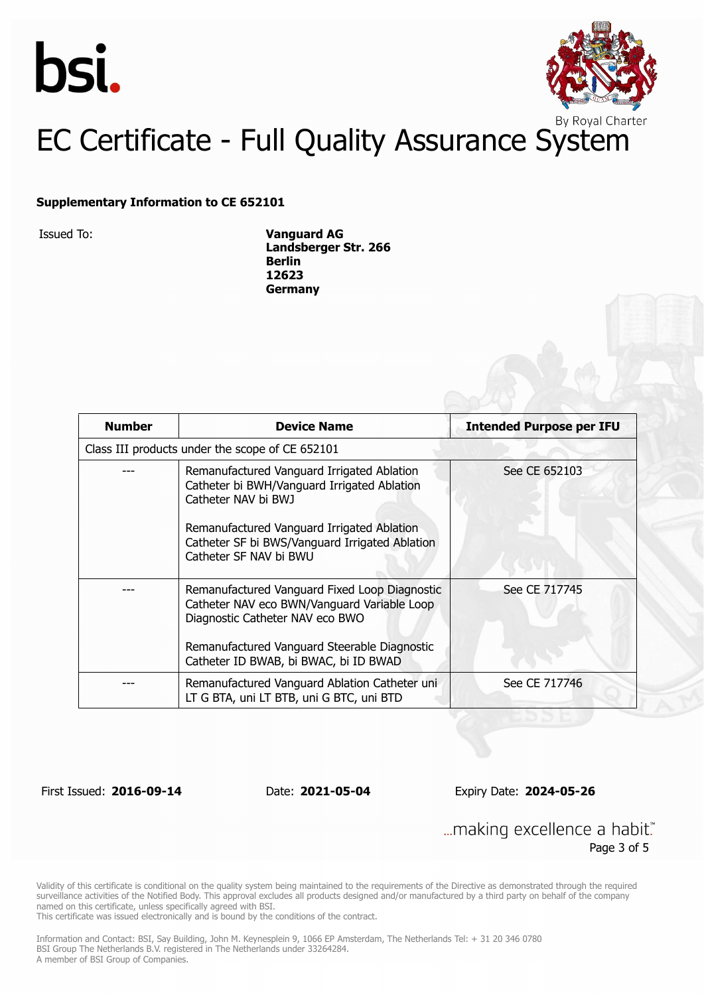



#### **Supplementary Information to CE 652101**

Issued To: **Vanguard AG Landsberger Str. 266 Berlin 12623 Germany**

| <b>Number</b> | <b>Device Name</b>                                                                                                                                                                                                                         | <b>Intended Purpose per IFU</b> |
|---------------|--------------------------------------------------------------------------------------------------------------------------------------------------------------------------------------------------------------------------------------------|---------------------------------|
|               | Class III products under the scope of CE 652101                                                                                                                                                                                            |                                 |
|               | Remanufactured Vanguard Irrigated Ablation<br>Catheter bi BWH/Vanguard Irrigated Ablation<br>Catheter NAV bi BWJ<br>Remanufactured Vanguard Irrigated Ablation<br>Catheter SF bi BWS/Vanguard Irrigated Ablation<br>Catheter SF NAV bi BWU | See CE 652103                   |
|               | Remanufactured Vanguard Fixed Loop Diagnostic<br>See CE 717745<br>Catheter NAV eco BWN/Vanguard Variable Loop<br>Diagnostic Catheter NAV eco BWO<br>Remanufactured Vanguard Steerable Diagnostic<br>Catheter ID BWAB, bi BWAC, bi ID BWAD  |                                 |
|               | Remanufactured Vanguard Ablation Catheter uni<br>LT G BTA, uni LT BTB, uni G BTC, uni BTD                                                                                                                                                  | See CE 717746                   |

First Issued: **2016-09-14** Date: **2021-05-04** Expiry Date: **2024-05-26**

... making excellence a habit." Page 3 of 5

Validity of this certificate is conditional on the quality system being maintained to the requirements of the Directive as demonstrated through the required surveillance activities of the Notified Body. This approval excludes all products designed and/or manufactured by a third party on behalf of the company named on this certificate, unless specifically agreed with BSI.

This certificate was issued electronically and is bound by the conditions of the contract.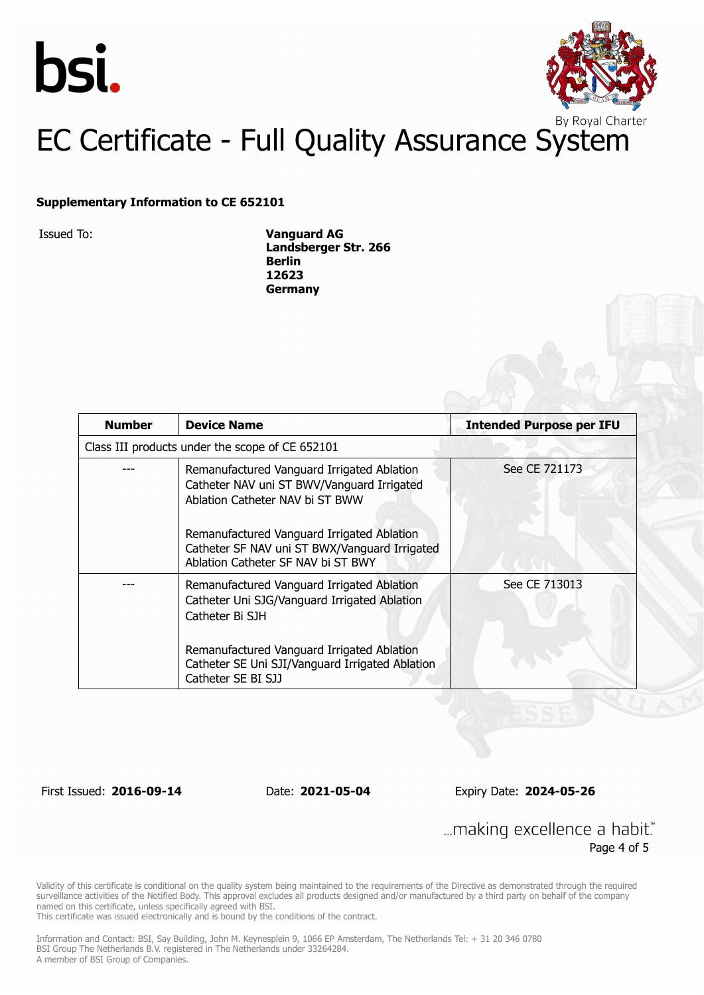



#### **Supplementary Information to CE 652101**

Issued To: **Vanguard AG Landsberger Str. 266 Berlin 12623 Germany**

| <b>Number</b> | <b>Device Name</b>                                                                                                                                                                                                                                               | <b>Intended Purpose per IFU</b> |
|---------------|------------------------------------------------------------------------------------------------------------------------------------------------------------------------------------------------------------------------------------------------------------------|---------------------------------|
|               | Class III products under the scope of CE 652101                                                                                                                                                                                                                  |                                 |
|               | Remanufactured Vanguard Irrigated Ablation<br>Catheter NAV uni ST BWV/Vanguard Irrigated<br>Ablation Catheter NAV bi ST BWW<br>Remanufactured Vanguard Irrigated Ablation<br>Catheter SF NAV uni ST BWX/Vanguard Irrigated<br>Ablation Catheter SF NAV bi ST BWY | See CE 721173                   |
|               | Remanufactured Vanguard Irrigated Ablation<br>Catheter Uni SJG/Vanguard Irrigated Ablation<br>Catheter Bi SJH<br>Remanufactured Vanguard Irrigated Ablation<br>Catheter SE Uni SJI/Vanguard Irrigated Ablation<br>Catheter SE BI SJJ                             | See CE 713013                   |

First Issued: **2016-09-14** Date: **2021-05-04** Expiry Date: **2024-05-26**

... making excellence a habit." Page 4 of 5

Validity of this certificate is conditional on the quality system being maintained to the requirements of the Directive as demonstrated through the required surveillance activities of the Notified Body. This approval excludes all products designed and/or manufactured by a third party on behalf of the company named on this certificate, unless specifically agreed with BSI.

This certificate was issued electronically and is bound by the conditions of the contract.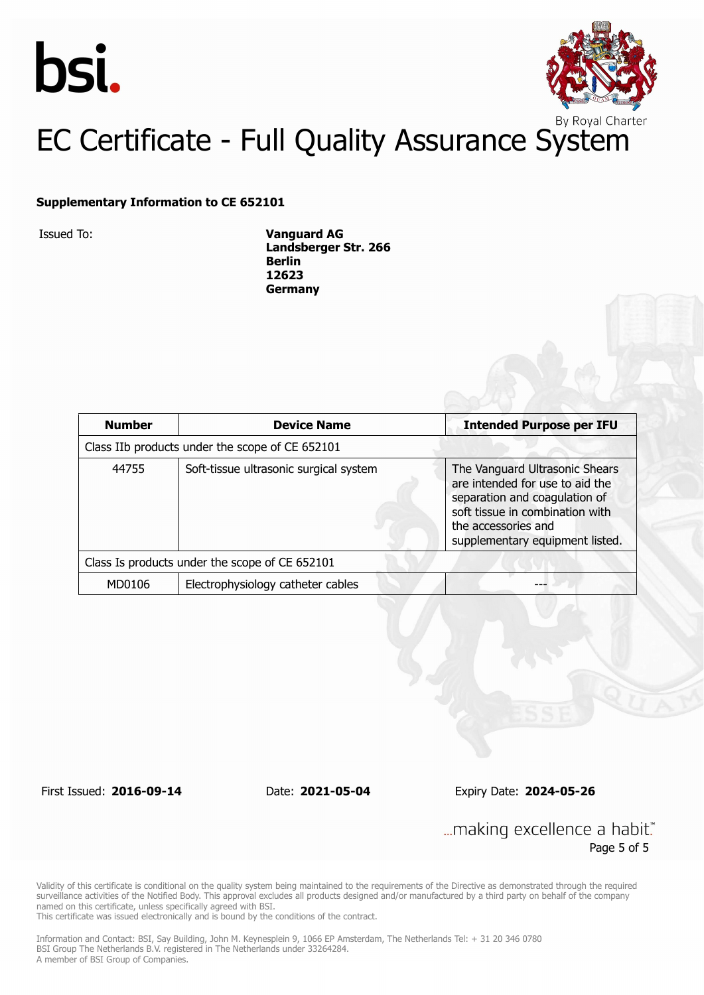



#### **Supplementary Information to CE 652101**

Issued To: **Vanguard AG Landsberger Str. 266 Berlin 12623 Germany**

| <b>Number</b>                                   | <b>Device Name</b>                     | <b>Intended Purpose per IFU</b>                                                                                                                                                                 |  |
|-------------------------------------------------|----------------------------------------|-------------------------------------------------------------------------------------------------------------------------------------------------------------------------------------------------|--|
| Class IIb products under the scope of CE 652101 |                                        |                                                                                                                                                                                                 |  |
| 44755                                           | Soft-tissue ultrasonic surgical system | The Vanguard Ultrasonic Shears<br>are intended for use to aid the<br>separation and coagulation of<br>soft tissue in combination with<br>the accessories and<br>supplementary equipment listed. |  |
| Class Is products under the scope of CE 652101  |                                        |                                                                                                                                                                                                 |  |
| MD0106                                          | Electrophysiology catheter cables      |                                                                                                                                                                                                 |  |

First Issued: **2016-09-14** Date: **2021-05-04** Expiry Date: **2024-05-26**

... making excellence a habit." Page 5 of 5

Validity of this certificate is conditional on the quality system being maintained to the requirements of the Directive as demonstrated through the required surveillance activities of the Notified Body. This approval excludes all products designed and/or manufactured by a third party on behalf of the company named on this certificate, unless specifically agreed with BSI.

This certificate was issued electronically and is bound by the conditions of the contract.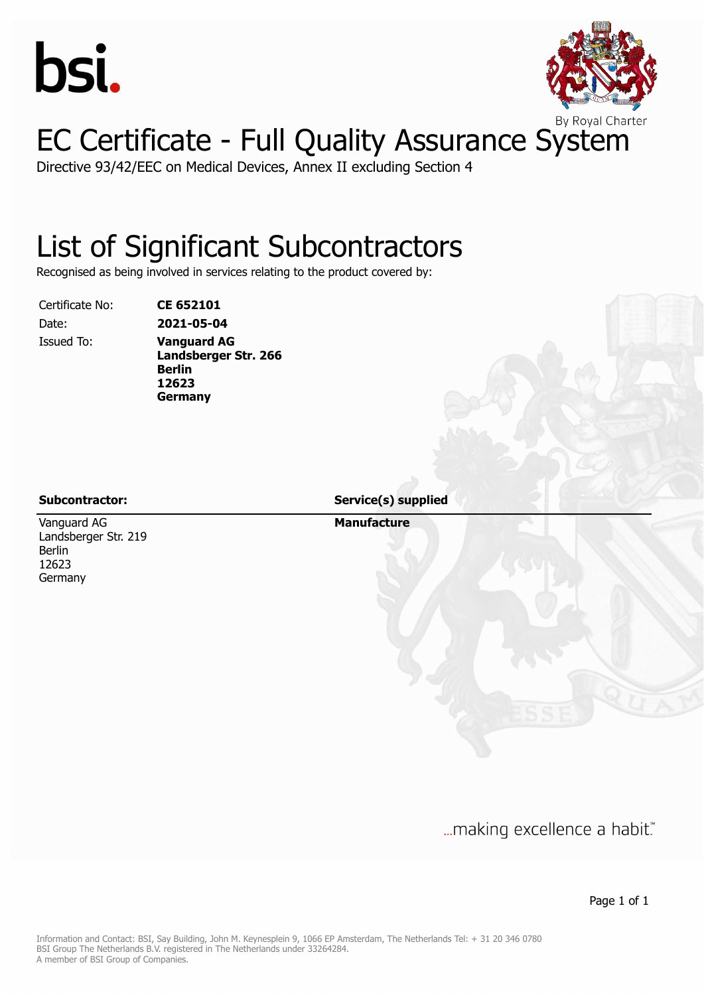



Directive 93/42/EEC on Medical Devices, Annex II excluding Section 4

## List of Significant Subcontractors

Recognised as being involved in services relating to the product covered by:

Certificate No: **CE 652101**

Date: **2021-05-04** Issued To: **Vanguard AG Landsberger Str. 266 Berlin 12623 Germany**

Vanguard AG Landsberger Str. 219 Berlin 12623 Germany

**Subcontractor: Service(s) supplied**

**Manufacture**

... making excellence a habit."

Page 1 of 1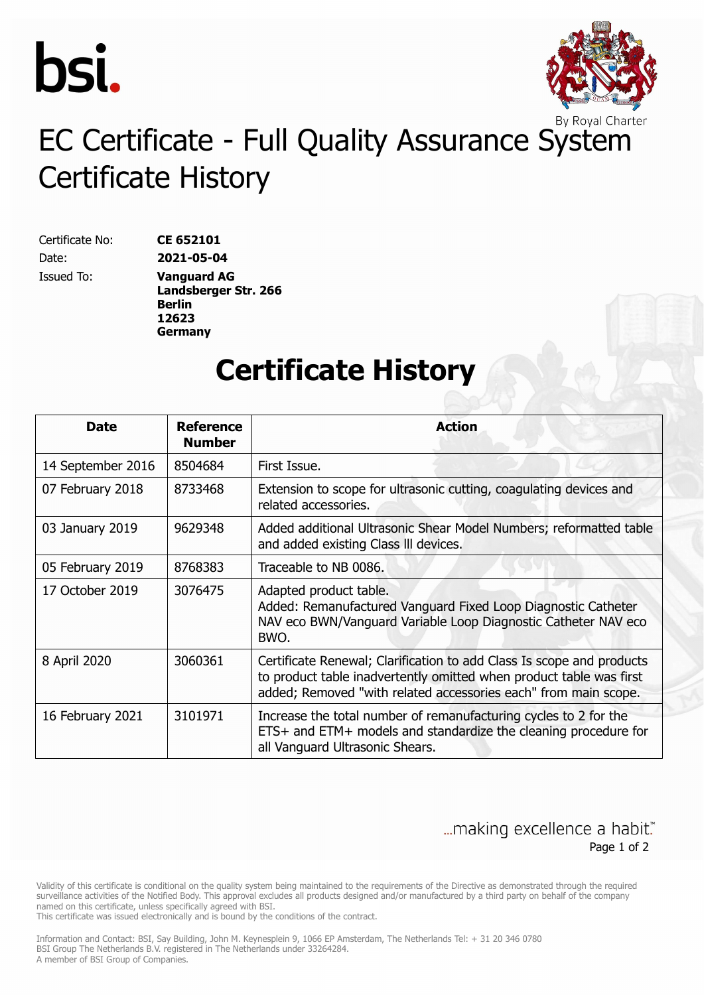



# EC Certificate - Full Quality Assurance System Certificate History

Certificate No: **CE 652101** Date: **2021-05-04**

Issued To: **Vanguard AG Landsberger Str. 266 Berlin 12623 Germany**

#### **Certificate History**

| <b>Date</b>       | <b>Reference</b><br><b>Number</b> | <b>Action</b>                                                                                                                                                                                                   |
|-------------------|-----------------------------------|-----------------------------------------------------------------------------------------------------------------------------------------------------------------------------------------------------------------|
| 14 September 2016 | 8504684                           | First Issue.                                                                                                                                                                                                    |
| 07 February 2018  | 8733468                           | Extension to scope for ultrasonic cutting, coagulating devices and<br>related accessories.                                                                                                                      |
| 03 January 2019   | 9629348                           | Added additional Ultrasonic Shear Model Numbers; reformatted table<br>and added existing Class III devices.                                                                                                     |
| 05 February 2019  | 8768383                           | Traceable to NB 0086.                                                                                                                                                                                           |
| 17 October 2019   | 3076475                           | Adapted product table.<br>Added: Remanufactured Vanguard Fixed Loop Diagnostic Catheter<br>NAV eco BWN/Vanguard Variable Loop Diagnostic Catheter NAV eco<br>BWO.                                               |
| 8 April 2020      | 3060361                           | Certificate Renewal; Clarification to add Class Is scope and products<br>to product table inadvertently omitted when product table was first<br>added; Removed "with related accessories each" from main scope. |
| 16 February 2021  | 3101971                           | Increase the total number of remanufacturing cycles to 2 for the<br>ETS+ and ETM+ models and standardize the cleaning procedure for<br>all Vanguard Ultrasonic Shears.                                          |

#### ... making excellence a habit." Page 1 of 2

Validity of this certificate is conditional on the quality system being maintained to the requirements of the Directive as demonstrated through the required surveillance activities of the Notified Body. This approval excludes all products designed and/or manufactured by a third party on behalf of the company named on this certificate, unless specifically agreed with BSI.

This certificate was issued electronically and is bound by the conditions of the contract.